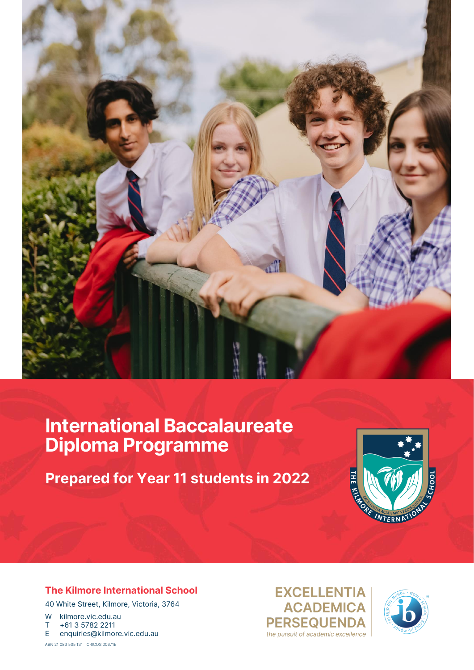

# International Baccalaureate Diploma Programme

Prepared for Year 11 students in 2022



#### The Kilmore International School

40 White Street, Kilmore, Victoria, 3764

W kilmore.vic.edu.au T +61 3 5782 2211 E [enquiries@kilmore.vic.edu.au](mailto:enquiries@kilmore.vic.edu.au)

ABN 21 083 505 131 CRICOS 00671E

#### **EXCELLENTIA ACADEMICA PERSEQUENDA** the pursuit of academic excellence

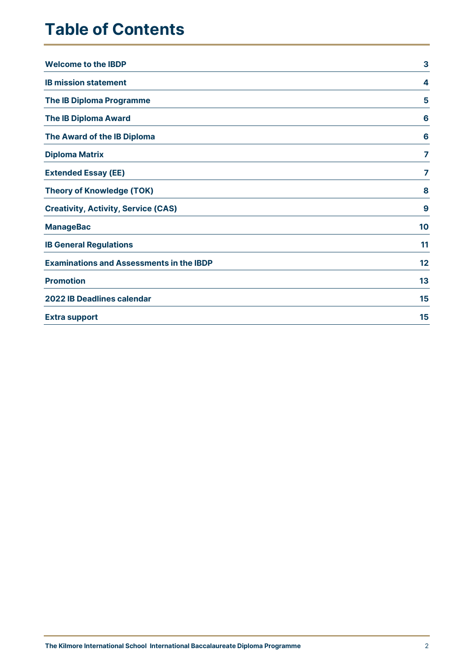# Table of Contents

| <b>Welcome to the IBDP</b>                      | 3  |
|-------------------------------------------------|----|
| <b>IB mission statement</b>                     | 4  |
| <b>The IB Diploma Programme</b>                 | 5  |
| <b>The IB Diploma Award</b>                     | 6  |
| The Award of the IB Diploma                     | 6  |
| <b>Diploma Matrix</b>                           | 7  |
| <b>Extended Essay (EE)</b>                      | 7  |
| <b>Theory of Knowledge (TOK)</b>                | 8  |
| <b>Creativity, Activity, Service (CAS)</b>      | 9  |
| <b>ManageBac</b>                                | 10 |
| <b>IB General Regulations</b>                   | 11 |
| <b>Examinations and Assessments in the IBDP</b> | 12 |
| <b>Promotion</b>                                | 13 |
| 2022 IB Deadlines calendar                      | 15 |
| <b>Extra support</b>                            | 15 |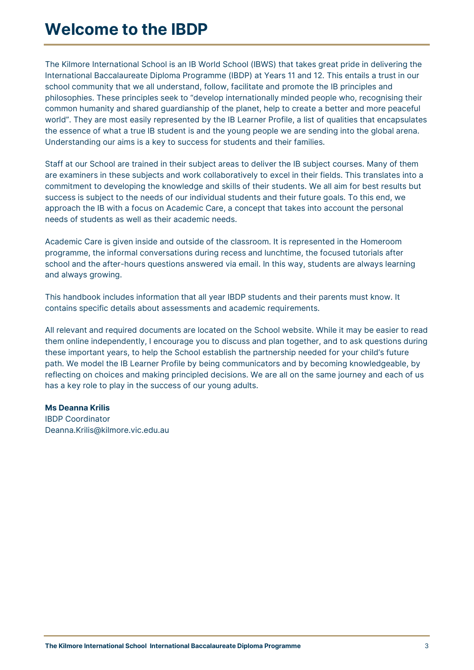### <span id="page-2-0"></span>Welcome to the IBDP

The Kilmore International School is an IB World School (IBWS) that takes great pride in delivering the International Baccalaureate Diploma Programme (IBDP) at Years 11 and 12. This entails a trust in our school community that we all understand, follow, facilitate and promote the IB principles and philosophies. These principles seek to "develop internationally minded people who, recognising their common humanity and shared guardianship of the planet, help to create a better and more peaceful world". They are most easily represented by the IB Learner Profile, a list of qualities that encapsulates the essence of what a true IB student is and the young people we are sending into the global arena. Understanding our aims is a key to success for students and their families.

Staff at our School are trained in their subject areas to deliver the IB subject courses. Many of them are examiners in these subjects and work collaboratively to excel in their fields. This translates into a commitment to developing the knowledge and skills of their students. We all aim for best results but success is subject to the needs of our individual students and their future goals. To this end, we approach the IB with a focus on Academic Care, a concept that takes into account the personal needs of students as well as their academic needs.

Academic Care is given inside and outside of the classroom. It is represented in the Homeroom programme, the informal conversations during recess and lunchtime, the focused tutorials after school and the after-hours questions answered via email. In this way, students are always learning and always growing.

This handbook includes information that all year IBDP students and their parents must know. It contains specific details about assessments and academic requirements.

All relevant and required documents are located on the School website. While it may be easier to read them online independently, I encourage you to discuss and plan together, and to ask questions during these important years, to help the School establish the partnership needed for your child's future path. We model the IB Learner Profile by being communicators and by becoming knowledgeable, by reflecting on choices and making principled decisions. We are all on the same journey and each of us has a key role to play in the success of our young adults.

#### Ms Deanna Krilis

IBDP Coordinator [Deanna.Krilis@kilmore.vic.edu.au](mailto:Deanna.Krilis@kilmore.vic.edu.au)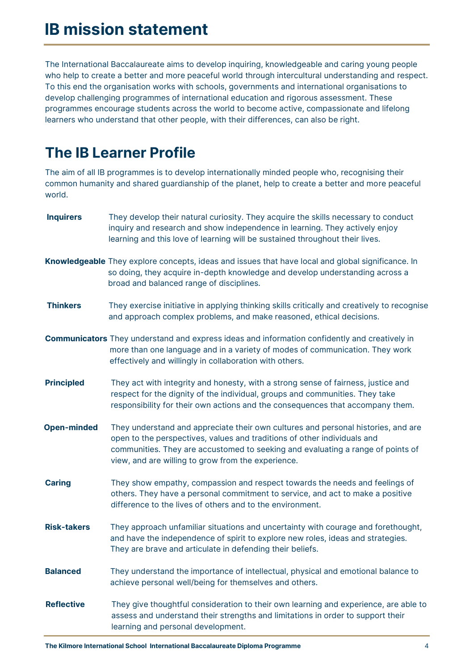### <span id="page-3-0"></span>IB mission statement

The International Baccalaureate aims to develop inquiring, knowledgeable and caring young people who help to create a better and more peaceful world through intercultural understanding and respect. To this end the organisation works with schools, governments and international organisations to develop challenging programmes of international education and rigorous assessment. These programmes encourage students across the world to become active, compassionate and lifelong learners who understand that other people, with their differences, can also be right.

#### The IB Learner Profile

The aim of all IB programmes is to develop internationally minded people who, recognising their common humanity and shared guardianship of the planet, help to create a better and more peaceful world.

| <b>Inquirers</b>   | They develop their natural curiosity. They acquire the skills necessary to conduct<br>inquiry and research and show independence in learning. They actively enjoy<br>learning and this love of learning will be sustained throughout their lives.                                                      |
|--------------------|--------------------------------------------------------------------------------------------------------------------------------------------------------------------------------------------------------------------------------------------------------------------------------------------------------|
|                    | Knowledgeable They explore concepts, ideas and issues that have local and global significance. In<br>so doing, they acquire in-depth knowledge and develop understanding across a<br>broad and balanced range of disciplines.                                                                          |
| <b>Thinkers</b>    | They exercise initiative in applying thinking skills critically and creatively to recognise<br>and approach complex problems, and make reasoned, ethical decisions.                                                                                                                                    |
|                    | Communicators They understand and express ideas and information confidently and creatively in<br>more than one language and in a variety of modes of communication. They work<br>effectively and willingly in collaboration with others.                                                               |
| <b>Principled</b>  | They act with integrity and honesty, with a strong sense of fairness, justice and<br>respect for the dignity of the individual, groups and communities. They take<br>responsibility for their own actions and the consequences that accompany them.                                                    |
| <b>Open-minded</b> | They understand and appreciate their own cultures and personal histories, and are<br>open to the perspectives, values and traditions of other individuals and<br>communities. They are accustomed to seeking and evaluating a range of points of<br>view, and are willing to grow from the experience. |
| <b>Caring</b>      | They show empathy, compassion and respect towards the needs and feelings of<br>others. They have a personal commitment to service, and act to make a positive<br>difference to the lives of others and to the environment.                                                                             |
| <b>Risk-takers</b> | They approach unfamiliar situations and uncertainty with courage and forethought,<br>and have the independence of spirit to explore new roles, ideas and strategies.<br>They are brave and articulate in defending their beliefs.                                                                      |
| <b>Balanced</b>    | They understand the importance of intellectual, physical and emotional balance to<br>achieve personal well/being for themselves and others.                                                                                                                                                            |
| <b>Reflective</b>  | They give thoughtful consideration to their own learning and experience, are able to<br>assess and understand their strengths and limitations in order to support their<br>learning and personal development.                                                                                          |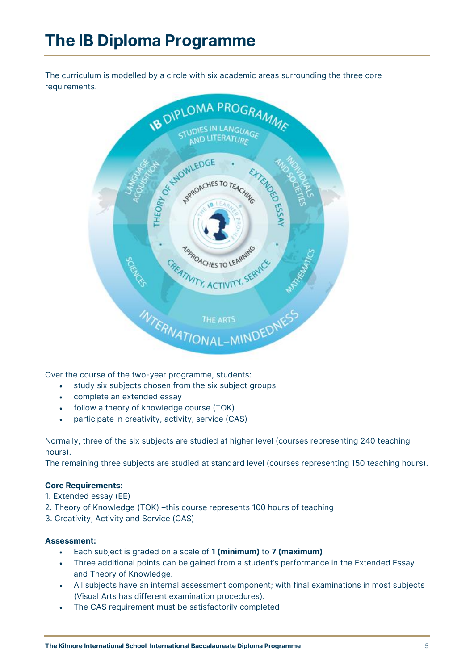# <span id="page-4-0"></span>The IB Diploma Programme

The curriculum is modelled by a circle with six academic areas surrounding the three core requirements.



Over the course of the two-year programme, students:

- study six subjects chosen from the six subject groups
- complete an extended essay
- follow a theory of knowledge course (TOK)
- participate in creativity, activity, service (CAS)

Normally, three of the six subjects are studied at higher level (courses representing 240 teaching hours).

The remaining three subjects are studied at standard level (courses representing 150 teaching hours).

#### Core Requirements:

- 1. Extended essay (EE)
- 2. Theory of Knowledge (TOK) –this course represents 100 hours of teaching
- 3. Creativity, Activity and Service (CAS)

#### Assessment:

- Each subject is graded on a scale of 1 (minimum) to 7 (maximum)
- Three additional points can be gained from a student's performance in the Extended Essay and Theory of Knowledge.
- All subjects have an internal assessment component; with final examinations in most subjects (Visual Arts has different examination procedures).
- The CAS requirement must be satisfactorily completed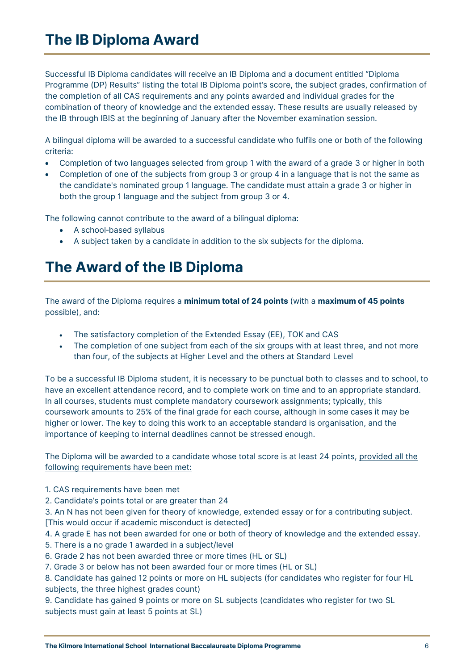<span id="page-5-0"></span>Successful IB Diploma candidates will receive an IB Diploma and a document entitled "Diploma Programme (DP) Results" listing the total IB Diploma point's score, the subject grades, confirmation of the completion of all CAS requirements and any points awarded and individual grades for the combination of theory of knowledge and the extended essay. These results are usually released by the IB through IBIS at the beginning of January after the November examination session.

A bilingual diploma will be awarded to a successful candidate who fulfils one or both of the following criteria:

- Completion of two languages selected from group 1 with the award of a grade 3 or higher in both
- Completion of one of the subjects from group 3 or group 4 in a language that is not the same as the candidate's nominated group 1 language. The candidate must attain a grade 3 or higher in both the group 1 language and the subject from group 3 or 4.

The following cannot contribute to the award of a bilingual diploma:

- A school-based syllabus
- A subject taken by a candidate in addition to the six subjects for the diploma.

#### <span id="page-5-1"></span>The Award of the IB Diploma

The award of the Diploma requires a minimum total of 24 points (with a maximum of 45 points possible), and:

- The satisfactory completion of the Extended Essay (EE), TOK and CAS
- The completion of one subject from each of the six groups with at least three, and not more than four, of the subjects at Higher Level and the others at Standard Level

To be a successful IB Diploma student, it is necessary to be punctual both to classes and to school, to have an excellent attendance record, and to complete work on time and to an appropriate standard. In all courses, students must complete mandatory coursework assignments; typically, this coursework amounts to 25% of the final grade for each course, although in some cases it may be higher or lower. The key to doing this work to an acceptable standard is organisation, and the importance of keeping to internal deadlines cannot be stressed enough.

The Diploma will be awarded to a candidate whose total score is at least 24 points, provided all the following requirements have been met:

- 1. CAS requirements have been met
- 2. Candidate's points total or are greater than 24

3. An N has not been given for theory of knowledge, extended essay or for a contributing subject. [This would occur if academic misconduct is detected]

- 4. A grade E has not been awarded for one or both of theory of knowledge and the extended essay.
- 5. There is a no grade 1 awarded in a subject/level
- 6. Grade 2 has not been awarded three or more times (HL or SL)
- 7. Grade 3 or below has not been awarded four or more times (HL or SL)

8. Candidate has gained 12 points or more on HL subjects (for candidates who register for four HL subjects, the three highest grades count)

9. Candidate has gained 9 points or more on SL subjects (candidates who register for two SL subjects must gain at least 5 points at SL)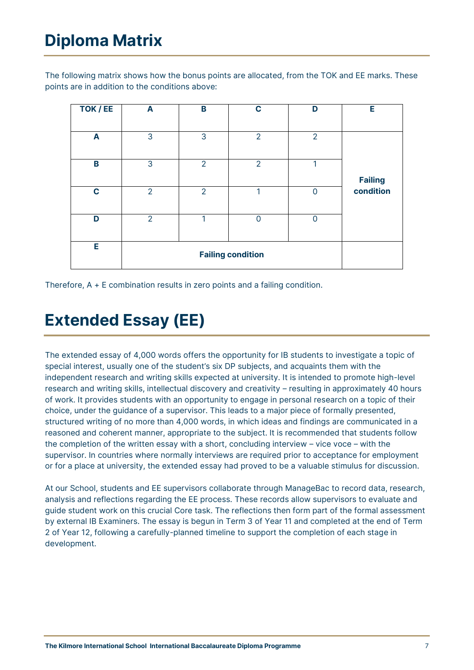# <span id="page-6-0"></span>Diploma Matrix

The following matrix shows how the bonus points are allocated, from the TOK and EE marks. These points are in addition to the conditions above:

| TOK / EE    | A                        | B              | C              | D              | E              |
|-------------|--------------------------|----------------|----------------|----------------|----------------|
|             |                          |                |                |                |                |
| A           | 3                        | 3              | $\overline{2}$ | $\overline{2}$ |                |
| B           | 3                        | $\overline{2}$ | $\overline{2}$ | 1              | <b>Failing</b> |
| $\mathbf c$ | $\overline{2}$           | $\overline{2}$ | 1              | $\Omega$       | condition      |
| D           | $\overline{2}$           | 1              | $\overline{0}$ | $\Omega$       |                |
| Е           | <b>Failing condition</b> |                |                |                |                |

Therefore, A + E combination results in zero points and a failing condition.

### <span id="page-6-1"></span>Extended Essay (EE)

The extended essay of 4,000 words offers the opportunity for IB students to investigate a topic of special interest, usually one of the student's six DP subjects, and acquaints them with the independent research and writing skills expected at university. It is intended to promote high-level research and writing skills, intellectual discovery and creativity – resulting in approximately 40 hours of work. It provides students with an opportunity to engage in personal research on a topic of their choice, under the guidance of a supervisor. This leads to a major piece of formally presented, structured writing of no more than 4,000 words, in which ideas and findings are communicated in a reasoned and coherent manner, appropriate to the subject. It is recommended that students follow the completion of the written essay with a short, concluding interview – vice voce – with the supervisor. In countries where normally interviews are required prior to acceptance for employment or for a place at university, the extended essay had proved to be a valuable stimulus for discussion.

At our School, students and EE supervisors collaborate through ManageBac to record data, research, analysis and reflections regarding the EE process. These records allow supervisors to evaluate and guide student work on this crucial Core task. The reflections then form part of the formal assessment by external IB Examiners. The essay is begun in Term 3 of Year 11 and completed at the end of Term 2 of Year 12, following a carefully-planned timeline to support the completion of each stage in development.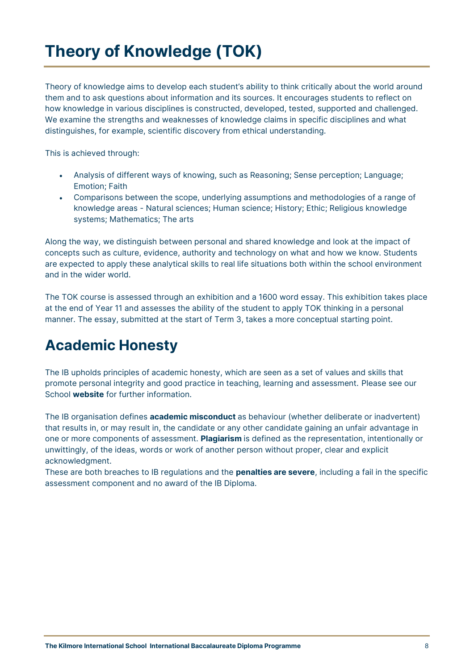# <span id="page-7-0"></span>Theory of Knowledge (TOK)

Theory of knowledge aims to develop each student's ability to think critically about the world around them and to ask questions about information and its sources. It encourages students to reflect on how knowledge in various disciplines is constructed, developed, tested, supported and challenged. We examine the strengths and weaknesses of knowledge claims in specific disciplines and what distinguishes, for example, scientific discovery from ethical understanding.

This is achieved through:

- Analysis of different ways of knowing, such as Reasoning; Sense perception; Language; Emotion; Faith
- Comparisons between the scope, underlying assumptions and methodologies of a range of knowledge areas - Natural sciences; Human science; History; Ethic; Religious knowledge systems; Mathematics; The arts

Along the way, we distinguish between personal and shared knowledge and look at the impact of concepts such as culture, evidence, authority and technology on what and how we know. Students are expected to apply these analytical skills to real life situations both within the school environment and in the wider world.

The TOK course is assessed through an exhibition and a 1600 word essay. This exhibition takes place at the end of Year 11 and assesses the ability of the student to apply TOK thinking in a personal manner. The essay, submitted at the start of Term 3, takes a more conceptual starting point.

### Academic Honesty

The IB upholds principles of academic honesty, which are seen as a set of values and skills that promote personal integrity and good practice in teaching, learning and assessment. Please see our School **website** for further information.

The IB organisation defines **academic misconduct** as behaviour (whether deliberate or inadvertent) that results in, or may result in, the candidate or any other candidate gaining an unfair advantage in one or more components of assessment. Plagiarism is defined as the representation, intentionally or unwittingly, of the ideas, words or work of another person without proper, clear and explicit acknowledgment.

These are both breaches to IB regulations and the **penalties are severe**, including a fail in the specific assessment component and no award of the IB Diploma.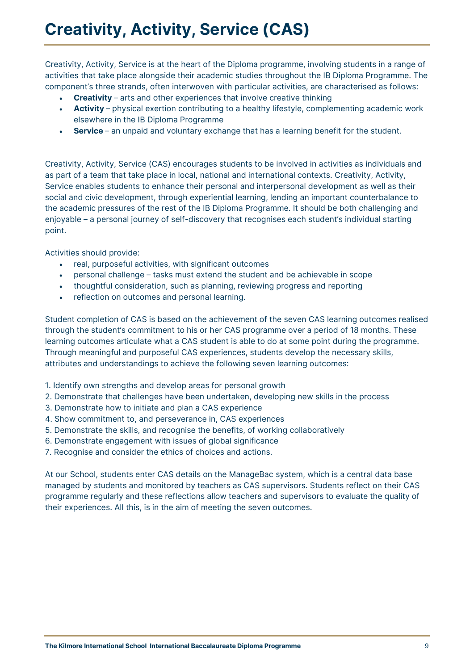# <span id="page-8-0"></span>Creativity, Activity, Service (CAS)

Creativity, Activity, Service is at the heart of the Diploma programme, involving students in a range of activities that take place alongside their academic studies throughout the IB Diploma Programme. The component's three strands, often interwoven with particular activities, are characterised as follows:

- Creativity arts and other experiences that involve creative thinking
- Activity physical exertion contributing to a healthy lifestyle, complementing academic work elsewhere in the IB Diploma Programme
- Service an unpaid and voluntary exchange that has a learning benefit for the student.

Creativity, Activity, Service (CAS) encourages students to be involved in activities as individuals and as part of a team that take place in local, national and international contexts. Creativity, Activity, Service enables students to enhance their personal and interpersonal development as well as their social and civic development, through experiential learning, lending an important counterbalance to the academic pressures of the rest of the IB Diploma Programme. It should be both challenging and enjoyable – a personal journey of self-discovery that recognises each student's individual starting point.

Activities should provide:

- real, purposeful activities, with significant outcomes
- personal challenge tasks must extend the student and be achievable in scope
- thoughtful consideration, such as planning, reviewing progress and reporting
- reflection on outcomes and personal learning.

Student completion of CAS is based on the achievement of the seven CAS learning outcomes realised through the student's commitment to his or her CAS programme over a period of 18 months. These learning outcomes articulate what a CAS student is able to do at some point during the programme. Through meaningful and purposeful CAS experiences, students develop the necessary skills, attributes and understandings to achieve the following seven learning outcomes:

- 1. Identify own strengths and develop areas for personal growth
- 2. Demonstrate that challenges have been undertaken, developing new skills in the process
- 3. Demonstrate how to initiate and plan a CAS experience
- 4. Show commitment to, and perseverance in, CAS experiences
- 5. Demonstrate the skills, and recognise the benefits, of working collaboratively
- 6. Demonstrate engagement with issues of global significance
- 7. Recognise and consider the ethics of choices and actions.

At our School, students enter CAS details on the ManageBac system, which is a central data base managed by students and monitored by teachers as CAS supervisors. Students reflect on their CAS programme regularly and these reflections allow teachers and supervisors to evaluate the quality of their experiences. All this, is in the aim of meeting the seven outcomes.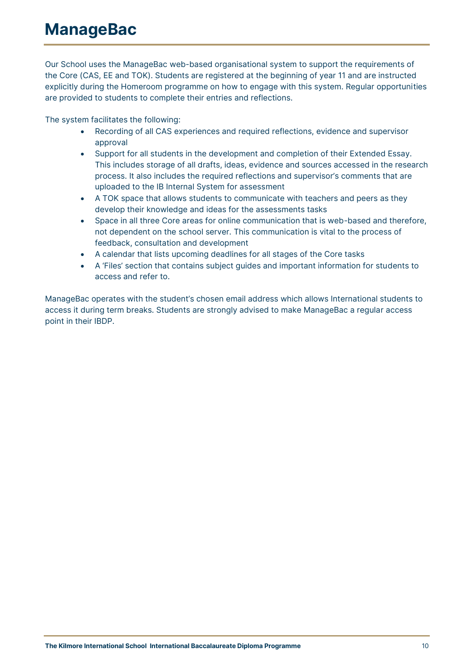### <span id="page-9-0"></span>**ManageBac**

Our School uses the ManageBac web-based organisational system to support the requirements of the Core (CAS, EE and TOK). Students are registered at the beginning of year 11 and are instructed explicitly during the Homeroom programme on how to engage with this system. Regular opportunities are provided to students to complete their entries and reflections.

The system facilitates the following:

- Recording of all CAS experiences and required reflections, evidence and supervisor approval
- Support for all students in the development and completion of their Extended Essay. This includes storage of all drafts, ideas, evidence and sources accessed in the research process. It also includes the required reflections and supervisor's comments that are uploaded to the IB Internal System for assessment
- A TOK space that allows students to communicate with teachers and peers as they develop their knowledge and ideas for the assessments tasks
- Space in all three Core areas for online communication that is web-based and therefore, not dependent on the school server. This communication is vital to the process of feedback, consultation and development
- A calendar that lists upcoming deadlines for all stages of the Core tasks
- A 'Files' section that contains subject guides and important information for students to access and refer to.

ManageBac operates with the student's chosen email address which allows International students to access it during term breaks. Students are strongly advised to make ManageBac a regular access point in their IBDP.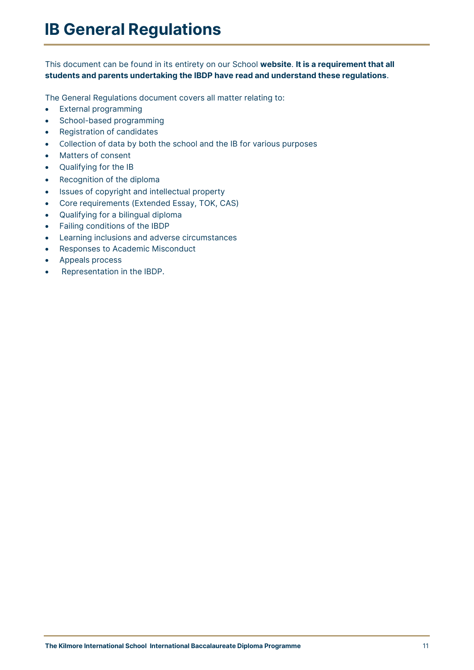<span id="page-10-0"></span>This document can be found in its entirety on our School [website.](https://www.kilmore.vic.edu.au/learning/the-international-baccalaureate/) It is a requirement that all students and parents undertaking the IBDP have read and understand these regulations.

The General Regulations document covers all matter relating to:

- External programming
- School-based programming
- Registration of candidates
- Collection of data by both the school and the IB for various purposes
- Matters of consent
- Qualifying for the IB
- Recognition of the diploma
- Issues of copyright and intellectual property
- Core requirements (Extended Essay, TOK, CAS)
- Qualifying for a bilingual diploma
- Failing conditions of the IBDP
- Learning inclusions and adverse circumstances
- Responses to Academic Misconduct
- Appeals process
- Representation in the IBDP.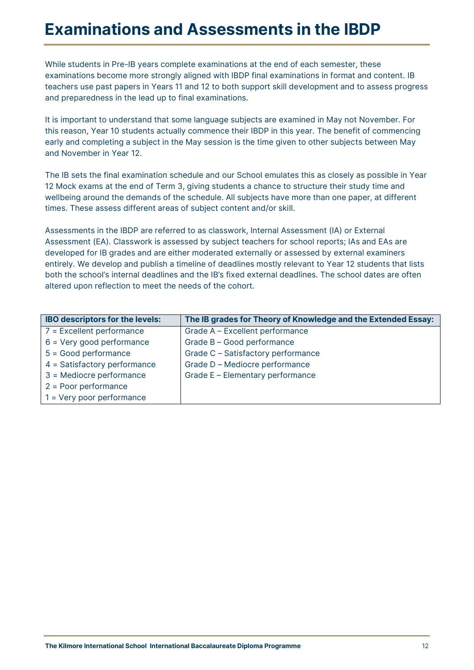## <span id="page-11-0"></span>Examinations and Assessments in the IBDP

While students in Pre-IB years complete examinations at the end of each semester, these examinations become more strongly aligned with IBDP final examinations in format and content. IB teachers use past papers in Years 11 and 12 to both support skill development and to assess progress and preparedness in the lead up to final examinations.

It is important to understand that some language subjects are examined in May not November. For this reason, Year 10 students actually commence their IBDP in this year. The benefit of commencing early and completing a subject in the May session is the time given to other subjects between May and November in Year 12.

The IB sets the final examination schedule and our School emulates this as closely as possible in Year 12 Mock exams at the end of Term 3, giving students a chance to structure their study time and wellbeing around the demands of the schedule. All subjects have more than one paper, at different times. These assess different areas of subject content and/or skill.

Assessments in the IBDP are referred to as classwork, Internal Assessment (IA) or External Assessment (EA). Classwork is assessed by subject teachers for school reports; IAs and EAs are developed for IB grades and are either moderated externally or assessed by external examiners entirely. We develop and publish a timeline of deadlines mostly relevant to Year 12 students that lists both the school's internal deadlines and the IB's fixed external deadlines. The school dates are often altered upon reflection to meet the needs of the cohort.

| IBO descriptors for the levels:    | The IB grades for Theory of Knowledge and the Extended Essay: |
|------------------------------------|---------------------------------------------------------------|
| $7$ = Excellent performance        | Grade A - Excellent performance                               |
| $6 = \text{Very good performance}$ | Grade B - Good performance                                    |
| $5 = Good performance$             | Grade C - Satisfactory performance                            |
| 4 = Satisfactory performance       | Grade D - Mediocre performance                                |
| $3$ = Mediocre performance         | Grade E - Elementary performance                              |
| $2 =$ Poor performance             |                                                               |
| $1 = \text{Very poor performance}$ |                                                               |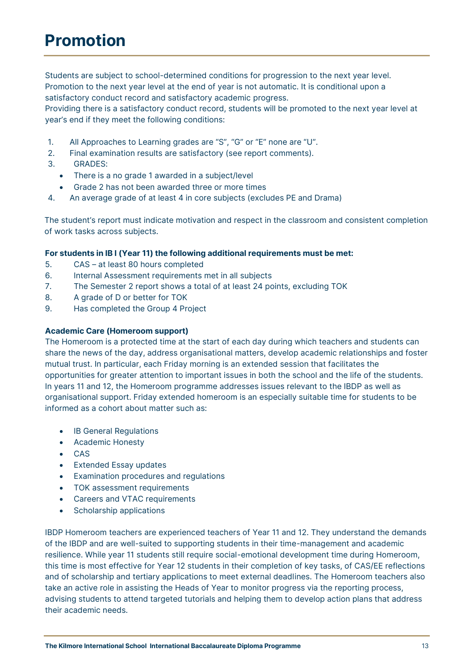<span id="page-12-0"></span>Students are subject to school-determined conditions for progression to the next year level. Promotion to the next year level at the end of year is not automatic. It is conditional upon a satisfactory conduct record and satisfactory academic progress.

Providing there is a satisfactory conduct record, students will be promoted to the next year level at year's end if they meet the following conditions:

- 1. All Approaches to Learning grades are "S", "G" or "E" none are "U".
- 2. Final examination results are satisfactory (see report comments).
- 3. GRADES:
	- There is a no grade 1 awarded in a subject/level
	- Grade 2 has not been awarded three or more times
- 4. An average grade of at least 4 in core subjects (excludes PE and Drama)

The student's report must indicate motivation and respect in the classroom and consistent completion of work tasks across subjects.

#### For students in IB I (Year 11) the following additional requirements must be met:

- 5. CAS at least 80 hours completed
- 6. Internal Assessment requirements met in all subjects
- 7. The Semester 2 report shows a total of at least 24 points, excluding TOK
- 8. A grade of D or better for TOK
- 9. Has completed the Group 4 Project

#### Academic Care (Homeroom support)

The Homeroom is a protected time at the start of each day during which teachers and students can share the news of the day, address organisational matters, develop academic relationships and foster mutual trust. In particular, each Friday morning is an extended session that facilitates the opportunities for greater attention to important issues in both the school and the life of the students. In years 11 and 12, the Homeroom programme addresses issues relevant to the IBDP as well as organisational support. Friday extended homeroom is an especially suitable time for students to be informed as a cohort about matter such as:

- IB General Regulations
- Academic Honesty
- CAS
- Extended Essay updates
- Examination procedures and regulations
- TOK assessment requirements
- Careers and VTAC requirements
- Scholarship applications

IBDP Homeroom teachers are experienced teachers of Year 11 and 12. They understand the demands of the IBDP and are well-suited to supporting students in their time-management and academic resilience. While year 11 students still require social-emotional development time during Homeroom, this time is most effective for Year 12 students in their completion of key tasks, of CAS/EE reflections and of scholarship and tertiary applications to meet external deadlines. The Homeroom teachers also take an active role in assisting the Heads of Year to monitor progress via the reporting process, advising students to attend targeted tutorials and helping them to develop action plans that address their academic needs.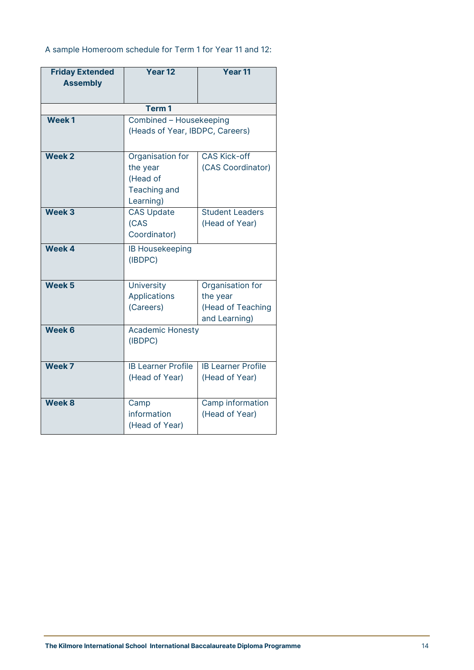A sample Homeroom schedule for Term 1 for Year 11 and 12:

| <b>Friday Extended</b> | Year <sub>12</sub>              | Year <sub>11</sub>        |
|------------------------|---------------------------------|---------------------------|
| <b>Assembly</b>        |                                 |                           |
|                        |                                 |                           |
|                        | Term <sub>1</sub>               |                           |
| Week <sub>1</sub>      | Combined - Housekeeping         |                           |
|                        | (Heads of Year, IBDPC, Careers) |                           |
|                        |                                 |                           |
| Week <sub>2</sub>      | Organisation for                | <b>CAS Kick-off</b>       |
|                        | the year                        | (CAS Coordinator)         |
|                        | (Head of                        |                           |
|                        | Teaching and                    |                           |
|                        | Learning)                       |                           |
| Week <sub>3</sub>      | <b>CAS Update</b>               | <b>Student Leaders</b>    |
|                        | (CAS                            | (Head of Year)            |
|                        | Coordinator)                    |                           |
| Week 4                 | <b>IB Housekeeping</b>          |                           |
|                        | (IBDPC)                         |                           |
|                        |                                 |                           |
| Week <sub>5</sub>      | <b>University</b>               | Organisation for          |
|                        | <b>Applications</b>             | the year                  |
|                        | (Careers)                       | (Head of Teaching         |
|                        | and Learning)                   |                           |
| Week <sub>6</sub>      | <b>Academic Honesty</b>         |                           |
|                        | (IBDPC)                         |                           |
|                        |                                 |                           |
| Week 7                 | <b>IB Learner Profile</b>       | <b>IB Learner Profile</b> |
|                        | (Head of Year)                  | (Head of Year)            |
|                        |                                 |                           |
| Week 8                 | Camp                            | Camp information          |
|                        | information                     | (Head of Year)            |
|                        | (Head of Year)                  |                           |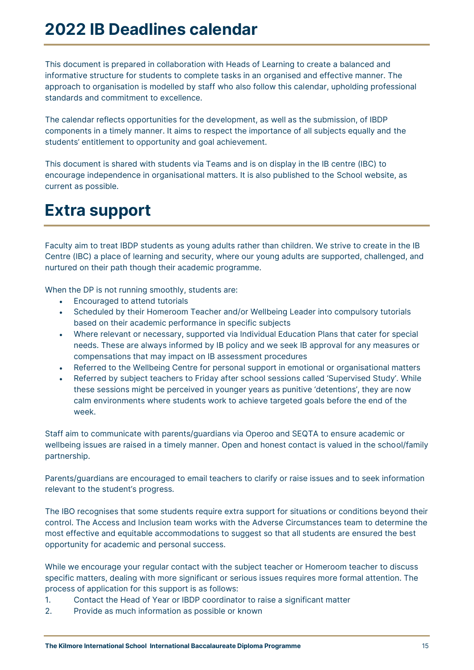### <span id="page-14-0"></span>2022 IB Deadlines calendar

This document is prepared in collaboration with Heads of Learning to create a balanced and informative structure for students to complete tasks in an organised and effective manner. The approach to organisation is modelled by staff who also follow this calendar, upholding professional standards and commitment to excellence.

The calendar reflects opportunities for the development, as well as the submission, of IBDP components in a timely manner. It aims to respect the importance of all subjects equally and the students' entitlement to opportunity and goal achievement.

This document is shared with students via Teams and is on display in the IB centre (IBC) to encourage independence in organisational matters. It is also published to the School website, as current as possible.

### <span id="page-14-1"></span>Extra support

Faculty aim to treat IBDP students as young adults rather than children. We strive to create in the IB Centre (IBC) a place of learning and security, where our young adults are supported, challenged, and nurtured on their path though their academic programme.

When the DP is not running smoothly, students are:

- Encouraged to attend tutorials
- Scheduled by their Homeroom Teacher and/or Wellbeing Leader into compulsory tutorials based on their academic performance in specific subjects
- Where relevant or necessary, supported via Individual Education Plans that cater for special needs. These are always informed by IB policy and we seek IB approval for any measures or compensations that may impact on IB assessment procedures
- Referred to the Wellbeing Centre for personal support in emotional or organisational matters
- Referred by subject teachers to Friday after school sessions called 'Supervised Study'. While these sessions might be perceived in younger years as punitive 'detentions', they are now calm environments where students work to achieve targeted goals before the end of the week.

Staff aim to communicate with parents/guardians via Operoo and SEQTA to ensure academic or wellbeing issues are raised in a timely manner. Open and honest contact is valued in the school/family partnership.

Parents/guardians are encouraged to email teachers to clarify or raise issues and to seek information relevant to the student's progress.

The IBO recognises that some students require extra support for situations or conditions beyond their control. The Access and Inclusion team works with the Adverse Circumstances team to determine the most effective and equitable accommodations to suggest so that all students are ensured the best opportunity for academic and personal success.

While we encourage your regular contact with the subject teacher or Homeroom teacher to discuss specific matters, dealing with more significant or serious issues requires more formal attention. The process of application for this support is as follows:

- 1. Contact the Head of Year or IBDP coordinator to raise a significant matter
- 2. Provide as much information as possible or known